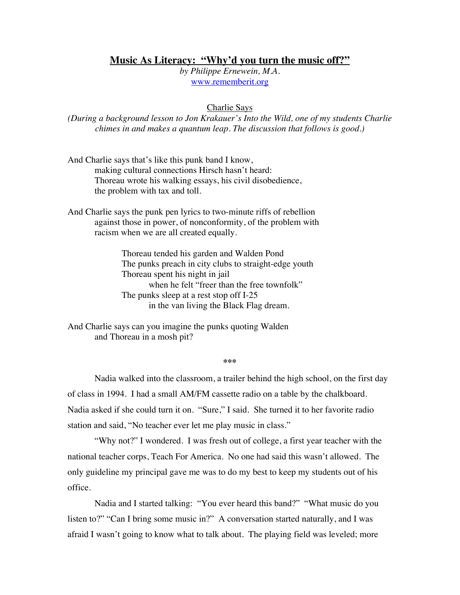## **Music As Literacy: "Why'd you turn the music off?"**

*by Philippe Ernewein, M.A.* www.rememberit.org

## Charlie Says

*(During a background lesson to Jon Krakauer's Into the Wild, one of my students Charlie chimes in and makes a quantum leap. The discussion that follows is good.)*

And Charlie says that's like this punk band I know, making cultural connections Hirsch hasn't heard: Thoreau wrote his walking essays, his civil disobedience, the problem with tax and toll.

And Charlie says the punk pen lyrics to two-minute riffs of rebellion against those in power, of nonconformity, of the problem with racism when we are all created equally.

> Thoreau tended his garden and Walden Pond The punks preach in city clubs to straight-edge youth Thoreau spent his night in jail when he felt "freer than the free townfolk" The punks sleep at a rest stop off I-25 in the van living the Black Flag dream.

And Charlie says can you imagine the punks quoting Walden and Thoreau in a mosh pit?

**\*\*\***

Nadia walked into the classroom, a trailer behind the high school, on the first day of class in 1994. I had a small AM/FM cassette radio on a table by the chalkboard. Nadia asked if she could turn it on. "Sure," I said. She turned it to her favorite radio station and said, "No teacher ever let me play music in class."

"Why not?" I wondered. I was fresh out of college, a first year teacher with the national teacher corps, Teach For America. No one had said this wasn't allowed. The only guideline my principal gave me was to do my best to keep my students out of his office.

Nadia and I started talking: "You ever heard this band?" "What music do you listen to?" "Can I bring some music in?" A conversation started naturally, and I was afraid I wasn't going to know what to talk about. The playing field was leveled; more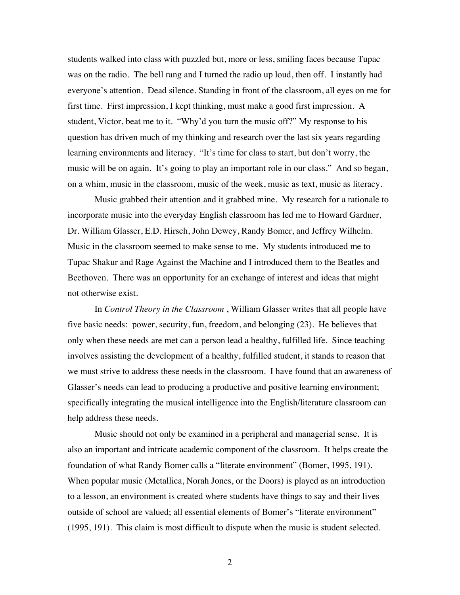students walked into class with puzzled but, more or less, smiling faces because Tupac was on the radio. The bell rang and I turned the radio up loud, then off. I instantly had everyone's attention. Dead silence. Standing in front of the classroom, all eyes on me for first time. First impression, I kept thinking, must make a good first impression. A student, Victor, beat me to it. "Why'd you turn the music off?" My response to his question has driven much of my thinking and research over the last six years regarding learning environments and literacy. "It's time for class to start, but don't worry, the music will be on again. It's going to play an important role in our class." And so began, on a whim, music in the classroom, music of the week, music as text, music as literacy.

Music grabbed their attention and it grabbed mine. My research for a rationale to incorporate music into the everyday English classroom has led me to Howard Gardner, Dr. William Glasser, E.D. Hirsch, John Dewey, Randy Bomer, and Jeffrey Wilhelm. Music in the classroom seemed to make sense to me. My students introduced me to Tupac Shakur and Rage Against the Machine and I introduced them to the Beatles and Beethoven. There was an opportunity for an exchange of interest and ideas that might not otherwise exist.

In *Control Theory in the Classroom* , William Glasser writes that all people have five basic needs: power, security, fun, freedom, and belonging (23). He believes that only when these needs are met can a person lead a healthy, fulfilled life. Since teaching involves assisting the development of a healthy, fulfilled student, it stands to reason that we must strive to address these needs in the classroom. I have found that an awareness of Glasser's needs can lead to producing a productive and positive learning environment; specifically integrating the musical intelligence into the English/literature classroom can help address these needs.

Music should not only be examined in a peripheral and managerial sense. It is also an important and intricate academic component of the classroom. It helps create the foundation of what Randy Bomer calls a "literate environment" (Bomer, 1995, 191). When popular music (Metallica, Norah Jones, or the Doors) is played as an introduction to a lesson, an environment is created where students have things to say and their lives outside of school are valued; all essential elements of Bomer's "literate environment" (1995, 191). This claim is most difficult to dispute when the music is student selected.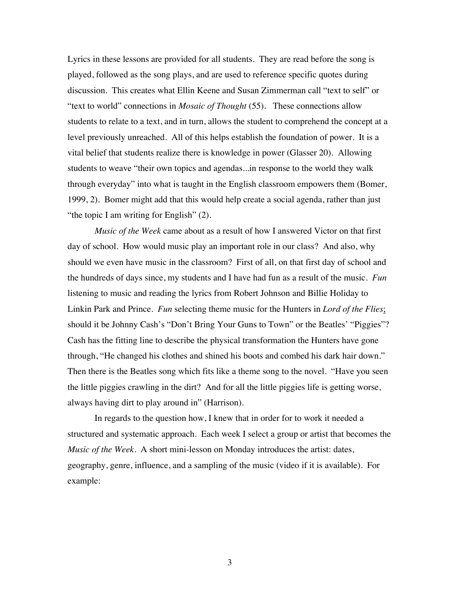Lyrics in these lessons are provided for all students. They are read before the song is played, followed as the song plays, and are used to reference specific quotes during discussion. This creates what Ellin Keene and Susan Zimmerman call "text to self" or "text to world" connections in *Mosaic of Thought* (55). These connections allow students to relate to a text, and in turn, allows the student to comprehend the concept at a level previously unreached. All of this helps establish the foundation of power. It is a vital belief that students realize there is knowledge in power (Glasser 20). Allowing students to weave "their own topics and agendas...in response to the world they walk through everyday" into what is taught in the English classroom empowers them (Bomer, 1999, 2). Bomer might add that this would help create a social agenda, rather than just "the topic I am writing for English" (2).

*Music of the Week* came about as a result of how I answered Victor on that first day of school. How would music play an important role in our class? And also, why should we even have music in the classroom? First of all, on that first day of school and the hundreds of days since, my students and I have had fun as a result of the music. *Fun* listening to music and reading the lyrics from Robert Johnson and Billie Holiday to Linkin Park and Prince. *Fun* selecting theme music for the Hunters in *Lord of the Flies*; should it be Johnny Cash's "Don't Bring Your Guns to Town" or the Beatles' "Piggies"? Cash has the fitting line to describe the physical transformation the Hunters have gone through, "He changed his clothes and shined his boots and combed his dark hair down." Then there is the Beatles song which fits like a theme song to the novel. "Have you seen the little piggies crawling in the dirt? And for all the little piggies life is getting worse, always having dirt to play around in" (Harrison).

In regards to the question how, I knew that in order for to work it needed a structured and systematic approach. Each week I select a group or artist that becomes the *Music of the Week*. A short mini-lesson on Monday introduces the artist: dates, geography, genre, influence, and a sampling of the music (video if it is available). For example: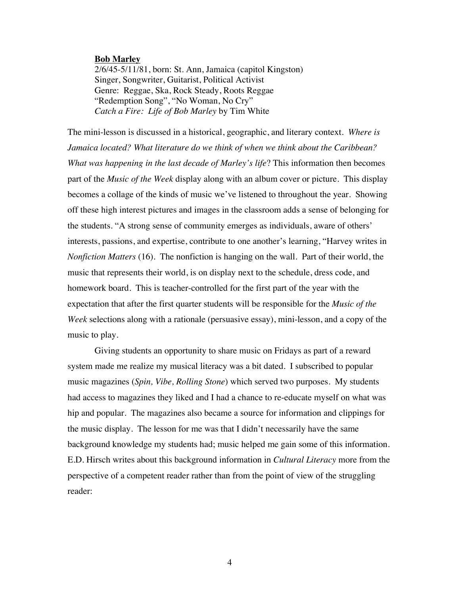## **Bob Marley**

2/6/45-5/11/81, born: St. Ann, Jamaica (capitol Kingston) Singer, Songwriter, Guitarist, Political Activist Genre: Reggae, Ska, Rock Steady, Roots Reggae "Redemption Song", "No Woman, No Cry" *Catch a Fire: Life of Bob Marley* by Tim White

The mini-lesson is discussed in a historical, geographic, and literary context*. Where is Jamaica located? What literature do we think of when we think about the Caribbean? What was happening in the last decade of Marley's life*? This information then becomes part of the *Music of the Week* display along with an album cover or picture. This display becomes a collage of the kinds of music we've listened to throughout the year. Showing off these high interest pictures and images in the classroom adds a sense of belonging for the students. "A strong sense of community emerges as individuals, aware of others' interests, passions, and expertise, contribute to one another's learning, "Harvey writes in *Nonfiction Matters* (16). The nonfiction is hanging on the wall. Part of their world, the music that represents their world, is on display next to the schedule, dress code, and homework board. This is teacher-controlled for the first part of the year with the expectation that after the first quarter students will be responsible for the *Music of the Week* selections along with a rationale (persuasive essay), mini-lesson, and a copy of the music to play.

Giving students an opportunity to share music on Fridays as part of a reward system made me realize my musical literacy was a bit dated. I subscribed to popular music magazines (*Spin, Vibe, Rolling Stone*) which served two purposes. My students had access to magazines they liked and I had a chance to re-educate myself on what was hip and popular. The magazines also became a source for information and clippings for the music display. The lesson for me was that I didn't necessarily have the same background knowledge my students had; music helped me gain some of this information. E.D. Hirsch writes about this background information in *Cultural Literacy* more from the perspective of a competent reader rather than from the point of view of the struggling reader: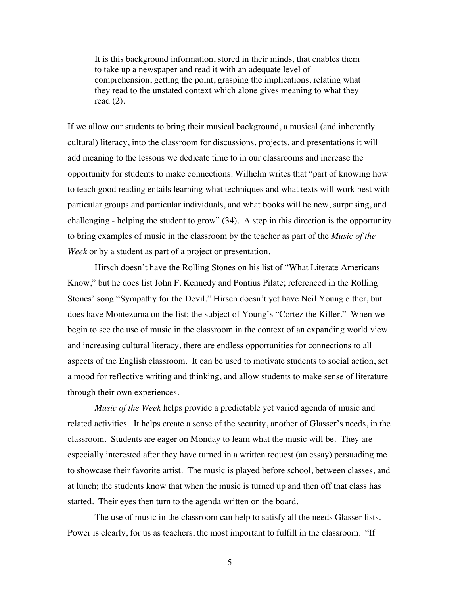It is this background information, stored in their minds, that enables them to take up a newspaper and read it with an adequate level of comprehension, getting the point, grasping the implications, relating what they read to the unstated context which alone gives meaning to what they read (2).

If we allow our students to bring their musical background, a musical (and inherently cultural) literacy, into the classroom for discussions, projects, and presentations it will add meaning to the lessons we dedicate time to in our classrooms and increase the opportunity for students to make connections. Wilhelm writes that "part of knowing how to teach good reading entails learning what techniques and what texts will work best with particular groups and particular individuals, and what books will be new, surprising, and challenging - helping the student to grow" (34). A step in this direction is the opportunity to bring examples of music in the classroom by the teacher as part of the *Music of the Week* or by a student as part of a project or presentation.

Hirsch doesn't have the Rolling Stones on his list of "What Literate Americans Know," but he does list John F. Kennedy and Pontius Pilate; referenced in the Rolling Stones' song "Sympathy for the Devil." Hirsch doesn't yet have Neil Young either, but does have Montezuma on the list; the subject of Young's "Cortez the Killer." When we begin to see the use of music in the classroom in the context of an expanding world view and increasing cultural literacy, there are endless opportunities for connections to all aspects of the English classroom. It can be used to motivate students to social action, set a mood for reflective writing and thinking, and allow students to make sense of literature through their own experiences.

*Music of the Week* helps provide a predictable yet varied agenda of music and related activities. It helps create a sense of the security, another of Glasser's needs, in the classroom. Students are eager on Monday to learn what the music will be. They are especially interested after they have turned in a written request (an essay) persuading me to showcase their favorite artist. The music is played before school, between classes, and at lunch; the students know that when the music is turned up and then off that class has started. Their eyes then turn to the agenda written on the board.

The use of music in the classroom can help to satisfy all the needs Glasser lists. Power is clearly, for us as teachers, the most important to fulfill in the classroom. "If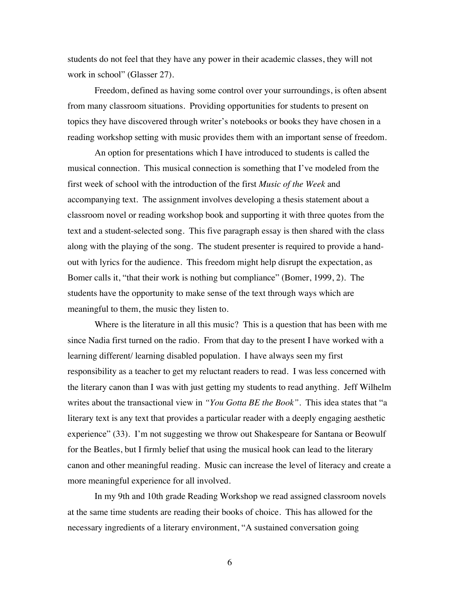students do not feel that they have any power in their academic classes, they will not work in school" (Glasser 27).

Freedom, defined as having some control over your surroundings, is often absent from many classroom situations. Providing opportunities for students to present on topics they have discovered through writer's notebooks or books they have chosen in a reading workshop setting with music provides them with an important sense of freedom.

An option for presentations which I have introduced to students is called the musical connection. This musical connection is something that I've modeled from the first week of school with the introduction of the first *Music of the Week* and accompanying text. The assignment involves developing a thesis statement about a classroom novel or reading workshop book and supporting it with three quotes from the text and a student-selected song. This five paragraph essay is then shared with the class along with the playing of the song. The student presenter is required to provide a handout with lyrics for the audience. This freedom might help disrupt the expectation, as Bomer calls it, "that their work is nothing but compliance" (Bomer, 1999, 2). The students have the opportunity to make sense of the text through ways which are meaningful to them, the music they listen to.

Where is the literature in all this music? This is a question that has been with me since Nadia first turned on the radio. From that day to the present I have worked with a learning different/ learning disabled population. I have always seen my first responsibility as a teacher to get my reluctant readers to read. I was less concerned with the literary canon than I was with just getting my students to read anything. Jeff Wilhelm writes about the transactional view in *"You Gotta BE the Book".* This idea states that "a literary text is any text that provides a particular reader with a deeply engaging aesthetic experience" (33). I'm not suggesting we throw out Shakespeare for Santana or Beowulf for the Beatles, but I firmly belief that using the musical hook can lead to the literary canon and other meaningful reading. Music can increase the level of literacy and create a more meaningful experience for all involved.

In my 9th and 10th grade Reading Workshop we read assigned classroom novels at the same time students are reading their books of choice. This has allowed for the necessary ingredients of a literary environment, "A sustained conversation going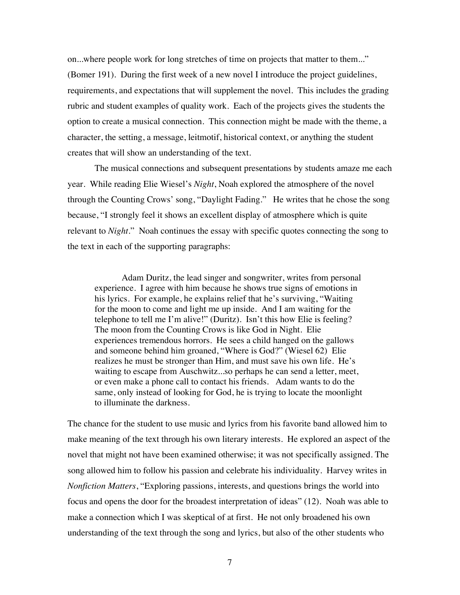on...where people work for long stretches of time on projects that matter to them..." (Bomer 191). During the first week of a new novel I introduce the project guidelines, requirements, and expectations that will supplement the novel. This includes the grading rubric and student examples of quality work. Each of the projects gives the students the option to create a musical connection. This connection might be made with the theme, a character, the setting, a message, leitmotif, historical context, or anything the student creates that will show an understanding of the text.

The musical connections and subsequent presentations by students amaze me each year. While reading Elie Wiesel's *Night*, Noah explored the atmosphere of the novel through the Counting Crows' song, "Daylight Fading." He writes that he chose the song because, "I strongly feel it shows an excellent display of atmosphere which is quite relevant to *Night*." Noah continues the essay with specific quotes connecting the song to the text in each of the supporting paragraphs:

Adam Duritz, the lead singer and songwriter, writes from personal experience. I agree with him because he shows true signs of emotions in his lyrics. For example, he explains relief that he's surviving, "Waiting for the moon to come and light me up inside. And I am waiting for the telephone to tell me I'm alive!" (Duritz). Isn't this how Elie is feeling? The moon from the Counting Crows is like God in Night. Elie experiences tremendous horrors. He sees a child hanged on the gallows and someone behind him groaned, "Where is God?" (Wiesel 62) Elie realizes he must be stronger than Him, and must save his own life. He's waiting to escape from Auschwitz...so perhaps he can send a letter, meet, or even make a phone call to contact his friends. Adam wants to do the same, only instead of looking for God, he is trying to locate the moonlight to illuminate the darkness.

The chance for the student to use music and lyrics from his favorite band allowed him to make meaning of the text through his own literary interests. He explored an aspect of the novel that might not have been examined otherwise; it was not specifically assigned. The song allowed him to follow his passion and celebrate his individuality. Harvey writes in *Nonfiction Matters*, "Exploring passions, interests, and questions brings the world into focus and opens the door for the broadest interpretation of ideas" (12). Noah was able to make a connection which I was skeptical of at first. He not only broadened his own understanding of the text through the song and lyrics, but also of the other students who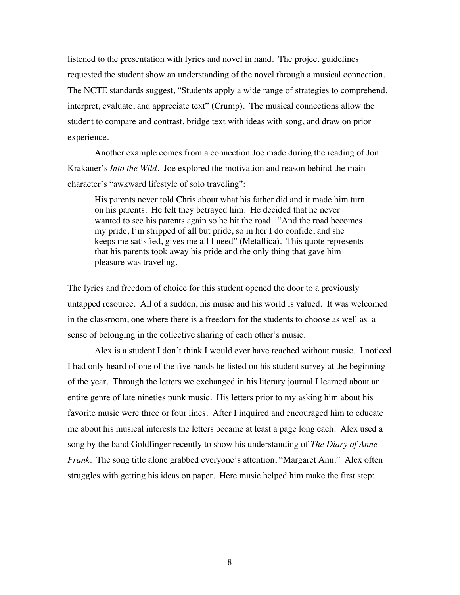listened to the presentation with lyrics and novel in hand. The project guidelines requested the student show an understanding of the novel through a musical connection. The NCTE standards suggest, "Students apply a wide range of strategies to comprehend, interpret, evaluate, and appreciate text" (Crump). The musical connections allow the student to compare and contrast, bridge text with ideas with song, and draw on prior experience.

Another example comes from a connection Joe made during the reading of Jon Krakauer's *Into the Wild*. Joe explored the motivation and reason behind the main character's "awkward lifestyle of solo traveling":

His parents never told Chris about what his father did and it made him turn on his parents. He felt they betrayed him. He decided that he never wanted to see his parents again so he hit the road. "And the road becomes my pride, I'm stripped of all but pride, so in her I do confide, and she keeps me satisfied, gives me all I need" (Metallica). This quote represents that his parents took away his pride and the only thing that gave him pleasure was traveling.

The lyrics and freedom of choice for this student opened the door to a previously untapped resource. All of a sudden, his music and his world is valued. It was welcomed in the classroom, one where there is a freedom for the students to choose as well as a sense of belonging in the collective sharing of each other's music.

Alex is a student I don't think I would ever have reached without music. I noticed I had only heard of one of the five bands he listed on his student survey at the beginning of the year. Through the letters we exchanged in his literary journal I learned about an entire genre of late nineties punk music. His letters prior to my asking him about his favorite music were three or four lines. After I inquired and encouraged him to educate me about his musical interests the letters became at least a page long each. Alex used a song by the band Goldfinger recently to show his understanding of *The Diary of Anne Frank*. The song title alone grabbed everyone's attention, "Margaret Ann." Alex often struggles with getting his ideas on paper. Here music helped him make the first step: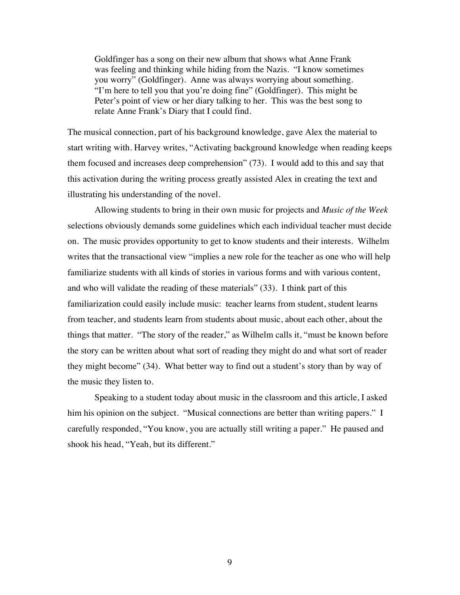Goldfinger has a song on their new album that shows what Anne Frank was feeling and thinking while hiding from the Nazis. "I know sometimes you worry" (Goldfinger). Anne was always worrying about something. "I'm here to tell you that you're doing fine" (Goldfinger). This might be Peter's point of view or her diary talking to her. This was the best song to relate Anne Frank's Diary that I could find.

The musical connection, part of his background knowledge, gave Alex the material to start writing with. Harvey writes, "Activating background knowledge when reading keeps them focused and increases deep comprehension" (73). I would add to this and say that this activation during the writing process greatly assisted Alex in creating the text and illustrating his understanding of the novel.

Allowing students to bring in their own music for projects and *Music of the Week* selections obviously demands some guidelines which each individual teacher must decide on. The music provides opportunity to get to know students and their interests. Wilhelm writes that the transactional view "implies a new role for the teacher as one who will help familiarize students with all kinds of stories in various forms and with various content, and who will validate the reading of these materials" (33). I think part of this familiarization could easily include music: teacher learns from student, student learns from teacher, and students learn from students about music, about each other, about the things that matter. "The story of the reader," as Wilhelm calls it, "must be known before the story can be written about what sort of reading they might do and what sort of reader they might become" (34). What better way to find out a student's story than by way of the music they listen to.

Speaking to a student today about music in the classroom and this article, I asked him his opinion on the subject. "Musical connections are better than writing papers." I carefully responded, "You know, you are actually still writing a paper." He paused and shook his head, "Yeah, but its different."